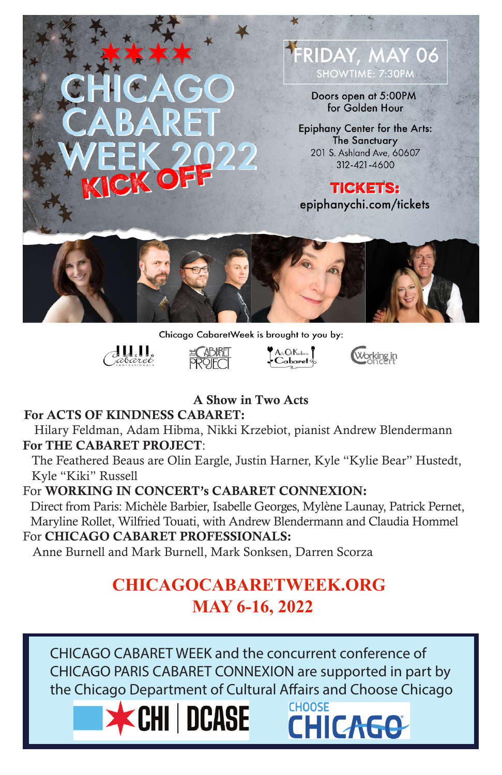









A Show in Two Acts

#### For ACTS OF KINDNESS CABARET:

 Hilary Feldman, Adam Hibma, Nikki Krzebiot, pianist Andrew Blendermann For THE CABARET PROJECT:

The Feathered Beaus are Olin Eargle, Justin Harner, Kyle "Kylie Bear" Hustedt, Kyle "Kiki" Russell

#### For WORKING IN CONCERT's CABARET CONNEXION:

Direct from Paris: Michèle Barbier, Isabelle Georges, Mylène Launay, Patrick Pernet, Maryline Rollet, Wilfried Touati, with Andrew Blendermann and Claudia Hommel For CHICAGO CABARET PROFESSIONALS:

Anne Burnell and Mark Burnell, Mark Sonksen, Darren Scorza

## **CHICAGOCABARETWEEK.ORG MAY 6-16, 2022**

CHICAGO CABARET WEEK and the concurrent conference of CHICAGO PARIS CABARET CONNEXION are supported in part by the Chicago Department of Cultural Affairs and Choose Chicago

**CHOOSE** 

**CHICAGO** 

**<Chi | DCASE**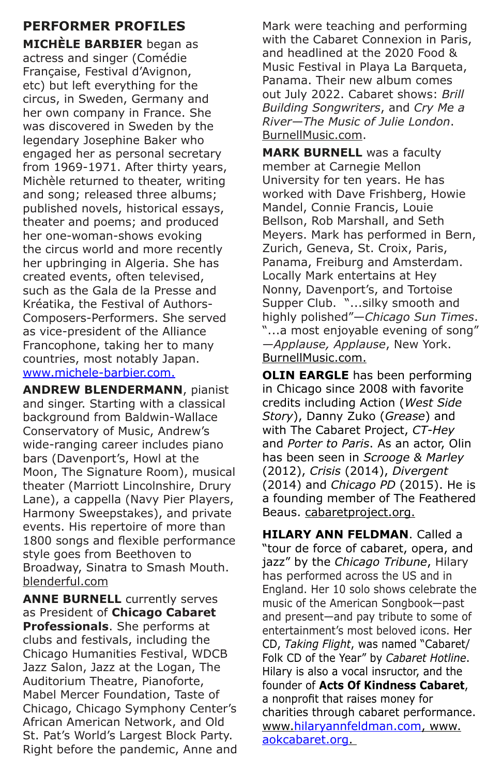### **PERFORMER PROFILES**

**MICHÈLE BARBIER** began as actress and singer (Comédie Française, Festival d'Avignon, etc) but left everything for the circus, in Sweden, Germany and her own company in France. She was discovered in Sweden by the legendary Josephine Baker who engaged her as personal secretary from 1969-1971. After thirty years, Michèle returned to theater, writing and song; released three albums; published novels, historical essays, theater and poems; and produced her one-woman-shows evoking the circus world and more recently her upbringing in Algeria. She has created events, often televised, such as the Gala de la Presse and Kréatika, the Festival of Authors-Composers-Performers. She served as vice-president of the Alliance Francophone, taking her to many countries, most notably Japan. www.michele-barbier.com.

**ANDREW BLENDERMANN**, pianist and singer. Starting with a classical background from Baldwin-Wallace Conservatory of Music, Andrew's wide-ranging career includes piano bars (Davenport's, Howl at the Moon, The Signature Room), musical theater (Marriott Lincolnshire, Drury Lane), a cappella (Navy Pier Players, Harmony Sweepstakes), and private events. His repertoire of more than 1800 songs and flexible performance style goes from Beethoven to Broadway, Sinatra to Smash Mouth. blenderful.com

**ANNE BURNELL** currently serves as President of **Chicago Cabaret Professionals**. She performs at clubs and festivals, including the Chicago Humanities Festival, WDCB Jazz Salon, Jazz at the Logan, The Auditorium Theatre, Pianoforte, Mabel Mercer Foundation, Taste of Chicago, Chicago Symphony Center's African American Network, and Old St. Pat's World's Largest Block Party. Right before the pandemic, Anne and Mark were teaching and performing with the Cabaret Connexion in Paris, and headlined at the 2020 Food & Music Festival in Playa La Barqueta, Panama. Their new album comes out July 2022. Cabaret shows: *Brill Building Songwriters*, and *Cry Me a River—The Music of Julie London*. BurnellMusic.com.

**MARK BURNELL** was a faculty member at Carnegie Mellon University for ten years. He has worked with Dave Frishberg, Howie Mandel, Connie Francis, Louie Bellson, Rob Marshall, and Seth Meyers. Mark has performed in Bern, Zurich, Geneva, St. Croix, Paris, Panama, Freiburg and Amsterdam. Locally Mark entertains at Hey Nonny, Davenport's, and Tortoise Supper Club. "...silky smooth and highly polished"—*Chicago Sun Times*. "...a most enjoyable evening of song" —*Applause, Applause*, New York. BurnellMusic.com.

**OLIN EARGLE** has been performing in Chicago since 2008 with favorite credits including Action (*West Side Story*), Danny Zuko (*Grease*) and with The Cabaret Project, *CT-Hey* and *Porter to Paris*. As an actor, Olin has been seen in *Scrooge & Marley* (2012), *Crisis* (2014), *Divergent* (2014) and *Chicago PD* (2015). He is a founding member of The Feathered Beaus. cabaretproject.org.

**HILARY ANN FELDMAN**. Called a "tour de force of cabaret, opera, and jazz" by the *Chicago Tribune*, Hilary has performed across the US and in England. Her 10 solo shows celebrate the music of the American Songbook—past and present—and pay tribute to some of entertainment's most beloved icons. Her CD, *Taking Flight*, was named "Cabaret/ Folk CD of the Year" by *Cabaret Hotline*. Hilary is also a vocal insructor, and the founder of **Acts Of Kindness Cabaret**, a nonprofit that raises money for charities through cabaret performance. www.hilaryannfeldman.com, www. aokcabaret.org.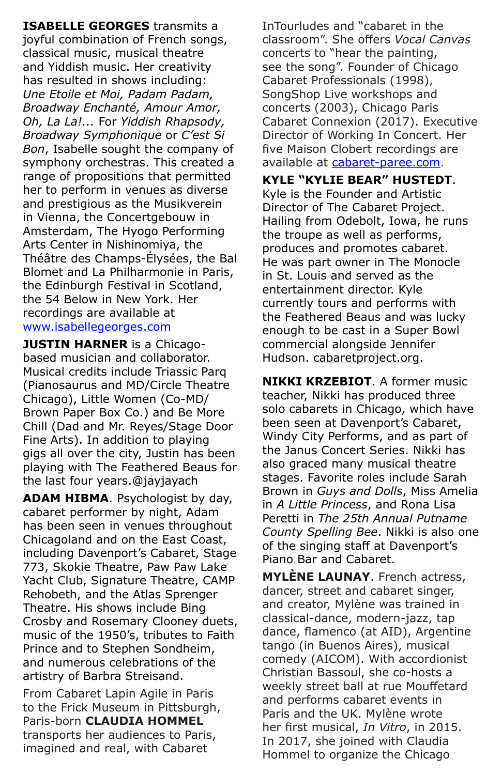**ISABELLE GEORGES** transmits a joyful combination of French songs, classical music, musical theatre and Yiddish music. Her creativity has resulted in shows including: *Une Etoile et Moi, Padam Padam, Broadway Enchanté, Amour Amor, Oh, La La!...* For *Yiddish Rhapsody, Broadway Symphonique* or *C'est Si Bon*, Isabelle sought the company of symphony orchestras. This created a range of propositions that permitted her to perform in venues as diverse and prestigious as the Musikverein in Vienna, the Concertgebouw in Amsterdam, The Hyogo Performing Arts Center in Nishinomiya, the Théâtre des Champs-Élysées, the Bal Blomet and La Philharmonie in Paris, the Edinburgh Festival in Scotland, the 54 Below in New York. Her recordings are available at www.isabellegeorges.com

**JUSTIN HARNER** is a Chicagobased musician and collaborator. Musical credits include Triassic Parq (Pianosaurus and MD/Circle Theatre Chicago), Little Women (Co-MD/ Brown Paper Box Co.) and Be More Chill (Dad and Mr. Reyes/Stage Door Fine Arts). In addition to playing gigs all over the city, Justin has been playing with The Feathered Beaus for the last four years.@jayjayach

**ADAM HIBMA**. Psychologist by day, cabaret performer by night, Adam has been seen in venues throughout Chicagoland and on the East Coast, including Davenport's Cabaret, Stage 773, Skokie Theatre, Paw Paw Lake Yacht Club, Signature Theatre, CAMP Rehobeth, and the Atlas Sprenger Theatre. His shows include Bing Crosby and Rosemary Clooney duets, music of the 1950's, tributes to Faith Prince and to Stephen Sondheim, and numerous celebrations of the artistry of Barbra Streisand.

From Cabaret Lapin Agile in Paris to the Frick Museum in Pittsburgh, Paris-born **CLAUDIA HOMMEL** transports her audiences to Paris, imagined and real, with Cabaret

InTourludes and "cabaret in the classroom". She offers *Vocal Canvas*  concerts to "hear the painting, see the song". Founder of Chicago Cabaret Professionals (1998), SongShop Live workshops and concerts (2003), Chicago Paris Cabaret Connexion (2017). Executive Director of Working In Concert. Her five Maison Clobert recordings are available at cabaret-paree.com.

**KYLE "KYLIE BEAR" HUSTEDT**. Kyle is the Founder and Artistic Director of The Cabaret Project. Hailing from Odebolt, Iowa, he runs the troupe as well as performs, produces and promotes cabaret. He was part owner in The Monocle in St. Louis and served as the entertainment director. Kyle currently tours and performs with the Feathered Beaus and was lucky enough to be cast in a Super Bowl commercial alongside Jennifer Hudson. cabaretproject.org.

**NIKKI KRZEBIOT**. A former music teacher, Nikki has produced three solo cabarets in Chicago, which have been seen at Davenport's Cabaret, Windy City Performs, and as part of the Janus Concert Series. Nikki has also graced many musical theatre stages. Favorite roles include Sarah Brown in *Guys and Dolls*, Miss Amelia in *A Little Princess*, and Rona Lisa Peretti in *The 25th Annual Putname County Spelling Bee*. Nikki is also one of the singing staff at Davenport's Piano Bar and Cabaret.

**MYLÈNE LAUNAY**. French actress, dancer, street and cabaret singer, and creator, Mylène was trained in classical-dance, modern-jazz, tap dance, flamenco (at AID), Argentine tango (in Buenos Aires), musical comedy (AICOM). With accordionist Christian Bassoul, she co-hosts a weekly street ball at rue Mouffetard and performs cabaret events in Paris and the UK. Mylène wrote her first musical, *In Vitro*, in 2015. In 2017, she joined with Claudia Hommel to organize the Chicago